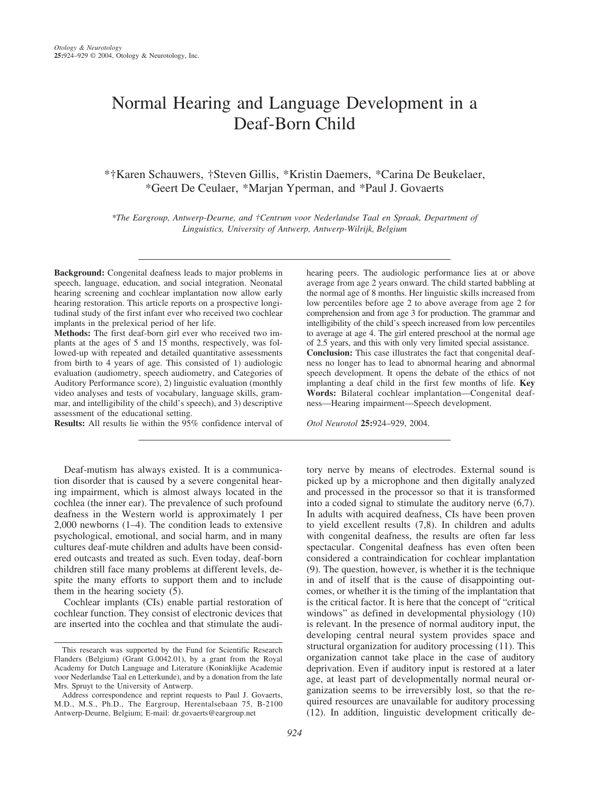# Normal Hearing and Language Development in a Deaf-Born Child

\*†Karen Schauwers, †Steven Gillis, \*Kristin Daemers, \*Carina De Beukelaer, \*Geert De Ceulaer, \*Marjan Yperman, and \*Paul J. Govaerts

*\*The Eargroup, Antwerp-Deurne, and †Centrum voor Nederlandse Taal en Spraak, Department of Linguistics, University of Antwerp, Antwerp-Wilrijk, Belgium*

**Background:** Congenital deafness leads to major problems in speech, language, education, and social integration. Neonatal hearing screening and cochlear implantation now allow early hearing restoration. This article reports on a prospective longitudinal study of the first infant ever who received two cochlear implants in the prelexical period of her life.

**Methods:** The first deaf-born girl ever who received two implants at the ages of 5 and 15 months, respectively, was followed-up with repeated and detailed quantitative assessments from birth to 4 years of age. This consisted of 1) audiologic evaluation (audiometry, speech audiometry, and Categories of Auditory Performance score), 2) linguistic evaluation (monthly video analyses and tests of vocabulary, language skills, grammar, and intelligibility of the child's speech), and 3) descriptive assessment of the educational setting.

**Results:** All results lie within the 95% confidence interval of

Deaf-mutism has always existed. It is a communication disorder that is caused by a severe congenital hearing impairment, which is almost always located in the cochlea (the inner ear). The prevalence of such profound deafness in the Western world is approximately 1 per 2,000 newborns (1–4). The condition leads to extensive psychological, emotional, and social harm, and in many cultures deaf-mute children and adults have been considered outcasts and treated as such. Even today, deaf-born children still face many problems at different levels, despite the many efforts to support them and to include them in the hearing society (5).

Cochlear implants (CIs) enable partial restoration of cochlear function. They consist of electronic devices that are inserted into the cochlea and that stimulate the audihearing peers. The audiologic performance lies at or above average from age 2 years onward. The child started babbling at the normal age of 8 months. Her linguistic skills increased from low percentiles before age 2 to above average from age 2 for comprehension and from age 3 for production. The grammar and intelligibility of the child's speech increased from low percentiles to average at age 4. The girl entered preschool at the normal age of 2.5 years, and this with only very limited special assistance. **Conclusion:** This case illustrates the fact that congenital deafness no longer has to lead to abnormal hearing and abnormal speech development. It opens the debate of the ethics of not implanting a deaf child in the first few months of life. **Key Words:** Bilateral cochlear implantation—Congenital deafness—Hearing impairment—Speech development.

*Otol Neurotol* **25:**924–929, 2004.

tory nerve by means of electrodes. External sound is picked up by a microphone and then digitally analyzed and processed in the processor so that it is transformed into a coded signal to stimulate the auditory nerve (6,7). In adults with acquired deafness, CIs have been proven to yield excellent results (7,8). In children and adults with congenital deafness, the results are often far less spectacular. Congenital deafness has even often been considered a contraindication for cochlear implantation (9). The question, however, is whether it is the technique in and of itself that is the cause of disappointing outcomes, or whether it is the timing of the implantation that is the critical factor. It is here that the concept of "critical windows" as defined in developmental physiology (10) is relevant. In the presence of normal auditory input, the developing central neural system provides space and structural organization for auditory processing (11). This organization cannot take place in the case of auditory deprivation. Even if auditory input is restored at a later age, at least part of developmentally normal neural organization seems to be irreversibly lost, so that the required resources are unavailable for auditory processing (12). In addition, linguistic development critically de-

This research was supported by the Fund for Scientific Research Flanders (Belgium) (Grant G.0042.01), by a grant from the Royal Academy for Dutch Language and Literature (Koninklijke Academie voor Nederlandse Taal en Letterkunde), and by a donation from the late Mrs. Spruyt to the University of Antwerp.

Address correspondence and reprint requests to Paul J. Govaerts, M.D., M.S., Ph.D., The Eargroup, Herentalsebaan 75, B-2100 Antwerp-Deurne, Belgium; E-mail: dr.govaerts@eargroup.net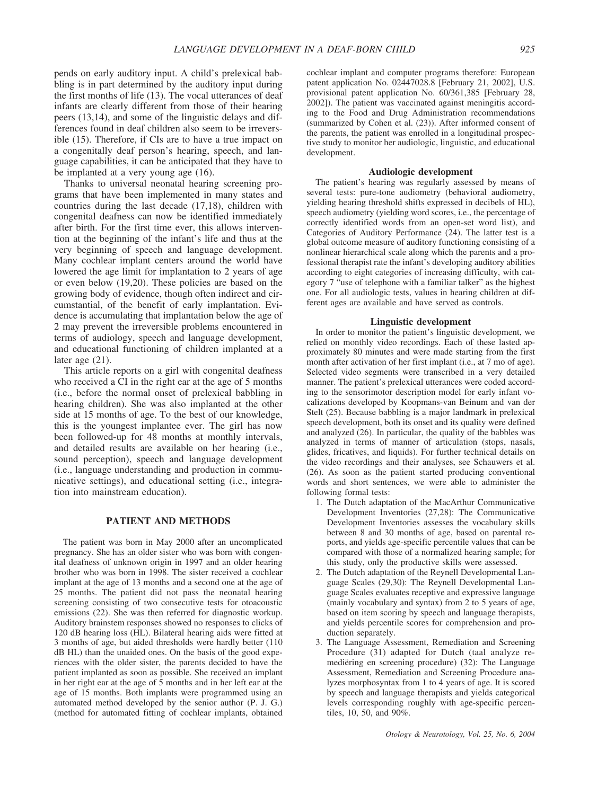pends on early auditory input. A child's prelexical babbling is in part determined by the auditory input during the first months of life (13). The vocal utterances of deaf infants are clearly different from those of their hearing peers (13,14), and some of the linguistic delays and differences found in deaf children also seem to be irreversible (15). Therefore, if CIs are to have a true impact on a congenitally deaf person's hearing, speech, and language capabilities, it can be anticipated that they have to be implanted at a very young age (16).

Thanks to universal neonatal hearing screening programs that have been implemented in many states and countries during the last decade (17,18), children with congenital deafness can now be identified immediately after birth. For the first time ever, this allows intervention at the beginning of the infant's life and thus at the very beginning of speech and language development. Many cochlear implant centers around the world have lowered the age limit for implantation to 2 years of age or even below (19,20). These policies are based on the growing body of evidence, though often indirect and circumstantial, of the benefit of early implantation. Evidence is accumulating that implantation below the age of 2 may prevent the irreversible problems encountered in terms of audiology, speech and language development, and educational functioning of children implanted at a later age (21).

This article reports on a girl with congenital deafness who received a CI in the right ear at the age of 5 months (i.e., before the normal onset of prelexical babbling in hearing children). She was also implanted at the other side at 15 months of age. To the best of our knowledge, this is the youngest implantee ever. The girl has now been followed-up for 48 months at monthly intervals, and detailed results are available on her hearing (i.e., sound perception), speech and language development (i.e., language understanding and production in communicative settings), and educational setting (i.e., integration into mainstream education).

# **PATIENT AND METHODS**

The patient was born in May 2000 after an uncomplicated pregnancy. She has an older sister who was born with congenital deafness of unknown origin in 1997 and an older hearing brother who was born in 1998. The sister received a cochlear implant at the age of 13 months and a second one at the age of 25 months. The patient did not pass the neonatal hearing screening consisting of two consecutive tests for otoacoustic emissions (22). She was then referred for diagnostic workup. Auditory brainstem responses showed no responses to clicks of 120 dB hearing loss (HL). Bilateral hearing aids were fitted at 3 months of age, but aided thresholds were hardly better (110 dB HL) than the unaided ones. On the basis of the good experiences with the older sister, the parents decided to have the patient implanted as soon as possible. She received an implant in her right ear at the age of 5 months and in her left ear at the age of 15 months. Both implants were programmed using an automated method developed by the senior author (P. J. G.) (method for automated fitting of cochlear implants, obtained

cochlear implant and computer programs therefore: European patent application No. 02447028.8 [February 21, 2002], U.S. provisional patent application No. 60/361,385 [February 28, 2002]). The patient was vaccinated against meningitis according to the Food and Drug Administration recommendations (summarized by Cohen et al. (23)). After informed consent of the parents, the patient was enrolled in a longitudinal prospective study to monitor her audiologic, linguistic, and educational development.

#### **Audiologic development**

The patient's hearing was regularly assessed by means of several tests: pure-tone audiometry (behavioral audiometry, yielding hearing threshold shifts expressed in decibels of HL), speech audiometry (yielding word scores, i.e., the percentage of correctly identified words from an open-set word list), and Categories of Auditory Performance (24). The latter test is a global outcome measure of auditory functioning consisting of a nonlinear hierarchical scale along which the parents and a professional therapist rate the infant's developing auditory abilities according to eight categories of increasing difficulty, with category 7 "use of telephone with a familiar talker" as the highest one. For all audiologic tests, values in hearing children at different ages are available and have served as controls.

#### **Linguistic development**

In order to monitor the patient's linguistic development, we relied on monthly video recordings. Each of these lasted approximately 80 minutes and were made starting from the first month after activation of her first implant (i.e., at 7 mo of age). Selected video segments were transcribed in a very detailed manner. The patient's prelexical utterances were coded according to the sensorimotor description model for early infant vocalizations developed by Koopmans-van Beinum and van der Stelt (25). Because babbling is a major landmark in prelexical speech development, both its onset and its quality were defined and analyzed  $(26)$ . In particular, the quality of the babbles was analyzed in terms of manner of articulation (stops, nasals, glides, fricatives, and liquids). For further technical details on the video recordings and their analyses, see Schauwers et al. (26). As soon as the patient started producing conventional words and short sentences, we were able to administer the following formal tests:

- 1. The Dutch adaptation of the MacArthur Communicative Development Inventories (27,28): The Communicative Development Inventories assesses the vocabulary skills between 8 and 30 months of age, based on parental reports, and yields age-specific percentile values that can be compared with those of a normalized hearing sample; for this study, only the productive skills were assessed.
- 2. The Dutch adaptation of the Reynell Developmental Language Scales (29,30): The Reynell Developmental Language Scales evaluates receptive and expressive language (mainly vocabulary and syntax) from 2 to 5 years of age, based on item scoring by speech and language therapists, and yields percentile scores for comprehension and production separately.
- 3. The Language Assessment, Remediation and Screening Procedure (31) adapted for Dutch (taal analyze remediëring en screening procedure) (32): The Language Assessment, Remediation and Screening Procedure analyzes morphosyntax from 1 to 4 years of age. It is scored by speech and language therapists and yields categorical levels corresponding roughly with age-specific percentiles, 10, 50, and 90%.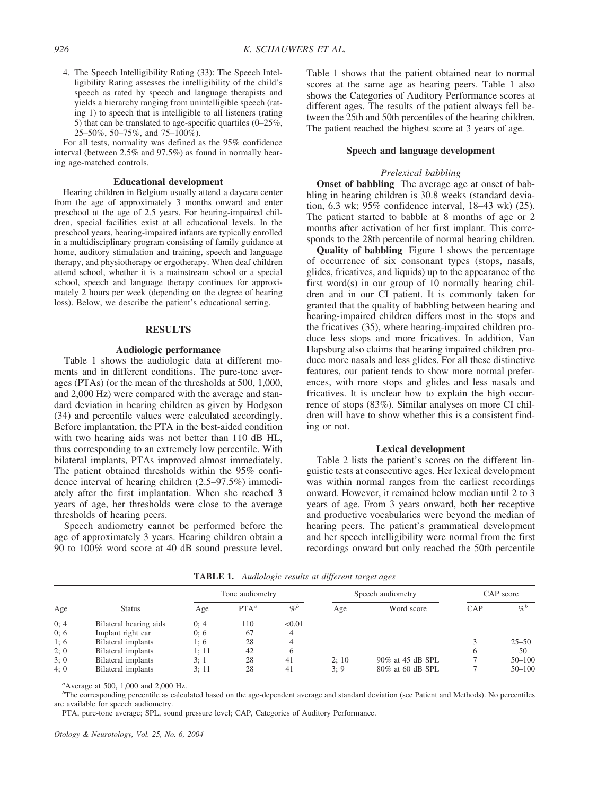4. The Speech Intelligibility Rating (33): The Speech Intelligibility Rating assesses the intelligibility of the child's speech as rated by speech and language therapists and yields a hierarchy ranging from unintelligible speech (rating 1) to speech that is intelligible to all listeners (rating 5) that can be translated to age-specific quartiles (0–25%, 25–50%, 50–75%, and 75–100%).

For all tests, normality was defined as the 95% confidence interval (between 2.5% and 97.5%) as found in normally hearing age-matched controls.

### **Educational development**

Hearing children in Belgium usually attend a daycare center from the age of approximately 3 months onward and enter preschool at the age of 2.5 years. For hearing-impaired children, special facilities exist at all educational levels. In the preschool years, hearing-impaired infants are typically enrolled in a multidisciplinary program consisting of family guidance at home, auditory stimulation and training, speech and language therapy, and physiotherapy or ergotherapy. When deaf children attend school, whether it is a mainstream school or a special school, speech and language therapy continues for approximately 2 hours per week (depending on the degree of hearing loss). Below, we describe the patient's educational setting.

# **RESULTS**

### **Audiologic performance**

Table 1 shows the audiologic data at different moments and in different conditions. The pure-tone averages (PTAs) (or the mean of the thresholds at 500, 1,000, and 2,000 Hz) were compared with the average and standard deviation in hearing children as given by Hodgson (34) and percentile values were calculated accordingly. Before implantation, the PTA in the best-aided condition with two hearing aids was not better than 110 dB HL, thus corresponding to an extremely low percentile. With bilateral implants, PTAs improved almost immediately. The patient obtained thresholds within the 95% confidence interval of hearing children (2.5–97.5%) immediately after the first implantation. When she reached 3 years of age, her thresholds were close to the average thresholds of hearing peers.

Speech audiometry cannot be performed before the age of approximately 3 years. Hearing children obtain a 90 to 100% word score at 40 dB sound pressure level. Table 1 shows that the patient obtained near to normal scores at the same age as hearing peers. Table 1 also shows the Categories of Auditory Performance scores at different ages. The results of the patient always fell between the 25th and 50th percentiles of the hearing children. The patient reached the highest score at 3 years of age.

# **Speech and language development**

# *Prelexical babbling*

**Onset of babbling** The average age at onset of babbling in hearing children is 30.8 weeks (standard deviation, 6.3 wk; 95% confidence interval, 18–43 wk) (25). The patient started to babble at 8 months of age or 2 months after activation of her first implant. This corresponds to the 28th percentile of normal hearing children.

**Quality of babbling** Figure 1 shows the percentage of occurrence of six consonant types (stops, nasals, glides, fricatives, and liquids) up to the appearance of the first word(s) in our group of 10 normally hearing children and in our CI patient. It is commonly taken for granted that the quality of babbling between hearing and hearing-impaired children differs most in the stops and the fricatives (35), where hearing-impaired children produce less stops and more fricatives. In addition, Van Hapsburg also claims that hearing impaired children produce more nasals and less glides. For all these distinctive features, our patient tends to show more normal preferences, with more stops and glides and less nasals and fricatives. It is unclear how to explain the high occurrence of stops (83%). Similar analyses on more CI children will have to show whether this is a consistent finding or not.

#### **Lexical development**

Table 2 lists the patient's scores on the different linguistic tests at consecutive ages. Her lexical development was within normal ranges from the earliest recordings onward. However, it remained below median until 2 to 3 years of age. From 3 years onward, both her receptive and productive vocabularies were beyond the median of hearing peers. The patient's grammatical development and her speech intelligibility were normal from the first recordings onward but only reached the 50th percentile

| Age  | <b>Status</b>          | Tone audiometry |         |        | Speech audiometry |                  | CAP score |            |
|------|------------------------|-----------------|---------|--------|-------------------|------------------|-----------|------------|
|      |                        | Age             | $PTA^a$ | $\%^b$ | Age               | Word score       | CAP       | $\%^b$     |
| 0; 4 | Bilateral hearing aids | 0:4             | 110     | < 0.01 |                   |                  |           |            |
| 0; 6 | Implant right ear      | 0:6             | 67      | 4      |                   |                  |           |            |
| 1;6  | Bilateral implants     | 1:6             | 28      | 4      |                   |                  |           | $25 - 50$  |
| 2;0  | Bilateral implants     | 1: 11           | 42      |        |                   |                  |           | 50         |
| 3;0  | Bilateral implants     | 3:1             | 28      | 41     | 2:10              | 90% at 45 dB SPL |           | $50 - 100$ |
| 4:0  | Bilateral implants     | 3:11            | 28      | 41     | 3:9               | 80% at 60 dB SPL |           | $50 - 100$ |

**TABLE 1.** *Audiologic results at different target ages*

*a* Average at 500, 1,000 and 2,000 Hz.

*b* The corresponding percentile as calculated based on the age-dependent average and standard deviation (see Patient and Methods). No percentiles are available for speech audiometry.

PTA, pure-tone average; SPL, sound pressure level; CAP, Categories of Auditory Performance.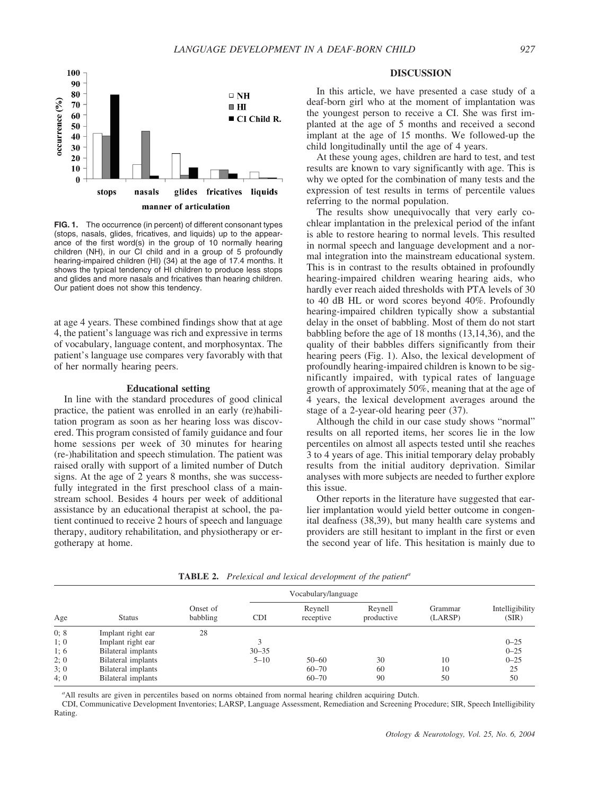

**FIG. 1.** The occurrence (in percent) of different consonant types (stops, nasals, glides, fricatives, and liquids) up to the appearance of the first word(s) in the group of 10 normally hearing children (NH), in our CI child and in a group of 5 profoundly hearing-impaired children (HI) (34) at the age of 17.4 months. It shows the typical tendency of HI children to produce less stops and glides and more nasals and fricatives than hearing children. Our patient does not show this tendency.

at age 4 years. These combined findings show that at age 4, the patient's language was rich and expressive in terms of vocabulary, language content, and morphosyntax. The patient's language use compares very favorably with that of her normally hearing peers.

#### **Educational setting**

In line with the standard procedures of good clinical practice, the patient was enrolled in an early (re)habilitation program as soon as her hearing loss was discovered. This program consisted of family guidance and four home sessions per week of 30 minutes for hearing (re-)habilitation and speech stimulation. The patient was raised orally with support of a limited number of Dutch signs. At the age of 2 years 8 months, she was successfully integrated in the first preschool class of a mainstream school. Besides 4 hours per week of additional assistance by an educational therapist at school, the patient continued to receive 2 hours of speech and language therapy, auditory rehabilitation, and physiotherapy or ergotherapy at home.

#### **DISCUSSION**

In this article, we have presented a case study of a deaf-born girl who at the moment of implantation was the youngest person to receive a CI. She was first implanted at the age of 5 months and received a second implant at the age of 15 months. We followed-up the child longitudinally until the age of 4 years.

At these young ages, children are hard to test, and test results are known to vary significantly with age. This is why we opted for the combination of many tests and the expression of test results in terms of percentile values referring to the normal population.

The results show unequivocally that very early cochlear implantation in the prelexical period of the infant is able to restore hearing to normal levels. This resulted in normal speech and language development and a normal integration into the mainstream educational system. This is in contrast to the results obtained in profoundly hearing-impaired children wearing hearing aids, who hardly ever reach aided thresholds with PTA levels of 30 to 40 dB HL or word scores beyond 40%. Profoundly hearing-impaired children typically show a substantial delay in the onset of babbling. Most of them do not start babbling before the age of 18 months (13,14,36), and the quality of their babbles differs significantly from their hearing peers (Fig. 1). Also, the lexical development of profoundly hearing-impaired children is known to be significantly impaired, with typical rates of language growth of approximately 50%, meaning that at the age of 4 years, the lexical development averages around the stage of a 2-year-old hearing peer (37).

Although the child in our case study shows "normal" results on all reported items, her scores lie in the low percentiles on almost all aspects tested until she reaches 3 to 4 years of age. This initial temporary delay probably results from the initial auditory deprivation. Similar analyses with more subjects are needed to further explore this issue.

Other reports in the literature have suggested that earlier implantation would yield better outcome in congenital deafness (38,39), but many health care systems and providers are still hesitant to implant in the first or even the second year of life. This hesitation is mainly due to

| Age  | <b>Status</b>      |                      |            | Vocabulary/language  |                       |                    |                          |
|------|--------------------|----------------------|------------|----------------------|-----------------------|--------------------|--------------------------|
|      |                    | Onset of<br>babbling | <b>CDI</b> | Reynell<br>receptive | Reynell<br>productive | Grammar<br>(LARSP) | Intelligibility<br>(SIR) |
| 0; 8 | Implant right ear  | 28                   |            |                      |                       |                    |                          |
| 1;0  | Implant right ear  |                      |            |                      |                       |                    | $0 - 25$                 |
| 1; 6 | Bilateral implants |                      | $30 - 35$  |                      |                       |                    | $0 - 25$                 |
| 2;0  | Bilateral implants |                      | $5 - 10$   | $50 - 60$            | 30                    | 10                 | $0 - 25$                 |
| 3;0  | Bilateral implants |                      |            | $60 - 70$            | 60                    | 10                 | 25                       |
| 4:0  | Bilateral implants |                      |            | $60 - 70$            | 90                    | 50                 | 50                       |

**TABLE 2.** *Prelexical and lexical development of the patienta*

*a* All results are given in percentiles based on norms obtained from normal hearing children acquiring Dutch.

CDI, Communicative Development Inventories; LARSP, Language Assessment, Remediation and Screening Procedure; SIR, Speech Intelligibility Rating.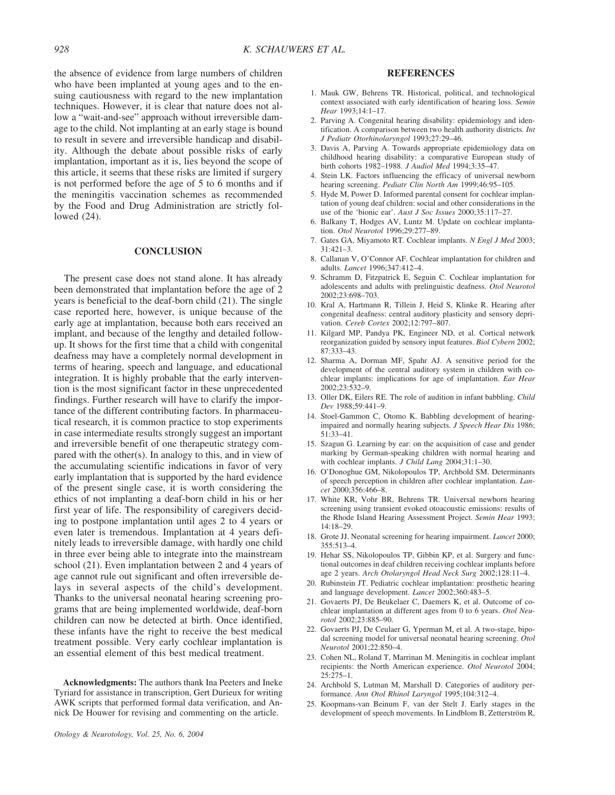the absence of evidence from large numbers of children who have been implanted at young ages and to the ensuing cautiousness with regard to the new implantation techniques. However, it is clear that nature does not allow a "wait-and-see" approach without irreversible damage to the child. Not implanting at an early stage is bound to result in severe and irreversible handicap and disability. Although the debate about possible risks of early implantation, important as it is, lies beyond the scope of this article, it seems that these risks are limited if surgery is not performed before the age of 5 to 6 months and if the meningitis vaccination schemes as recommended by the Food and Drug Administration are strictly followed (24).

## **CONCLUSION**

The present case does not stand alone. It has already been demonstrated that implantation before the age of 2 years is beneficial to the deaf-born child (21). The single case reported here, however, is unique because of the early age at implantation, because both ears received an implant, and because of the lengthy and detailed followup. It shows for the first time that a child with congenital deafness may have a completely normal development in terms of hearing, speech and language, and educational integration. It is highly probable that the early intervention is the most significant factor in these unprecedented findings. Further research will have to clarify the importance of the different contributing factors. In pharmaceutical research, it is common practice to stop experiments in case intermediate results strongly suggest an important and irreversible benefit of one therapeutic strategy compared with the other(s). In analogy to this, and in view of the accumulating scientific indications in favor of very early implantation that is supported by the hard evidence of the present single case, it is worth considering the ethics of not implanting a deaf-born child in his or her first year of life. The responsibility of caregivers deciding to postpone implantation until ages 2 to 4 years or even later is tremendous. Implantation at 4 years definitely leads to irreversible damage, with hardly one child in three ever being able to integrate into the mainstream school (21). Even implantation between 2 and 4 years of age cannot rule out significant and often irreversible delays in several aspects of the child's development. Thanks to the universal neonatal hearing screening programs that are being implemented worldwide, deaf-born children can now be detected at birth. Once identified, these infants have the right to receive the best medical treatment possible. Very early cochlear implantation is an essential element of this best medical treatment.

**Acknowledgments:** The authors thank Ina Peeters and Ineke Tyriard for assistance in transcription, Gert Durieux for writing AWK scripts that performed formal data verification, and Annick De Houwer for revising and commenting on the article.

# **REFERENCES**

- 1. Mauk GW, Behrens TR. Historical, political, and technological context associated with early identification of hearing loss. *Semin Hear* 1993;14:1–17.
- 2. Parving A. Congenital hearing disability: epidemiology and identification. A comparison between two health authority districts. *Int J Pediatr Otorhinolaryngol* 1993;27:29–46.
- 3. Davis A, Parving A. Towards appropriate epidemiology data on childhood hearing disability: a comparative European study of birth cohorts 1982–1988. *J Audiol Med* 1994;3:35–47.
- 4. Stein LK. Factors influencing the efficacy of universal newborn hearing screening. *Pediatr Clin North Am* 1999;46:95–105.
- 5. Hyde M, Power D. Informed parental consent for cochlear implantation of young deaf children: social and other considerations in the use of the 'bionic ear'. *Aust J Soc Issues* 2000;35:117–27.
- 6. Balkany T, Hodges AV, Luntz M. Update on cochlear implantation. *Otol Neurotol* 1996;29:277–89.
- 7. Gates GA, Miyamoto RT. Cochlear implants. *N Engl J Med* 2003; 31:421–3.
- 8. Callanan V, O'Connor AF. Cochlear implantation for children and adults. *Lancet* 1996;347:412–4.
- 9. Schramm D, Fitzpatrick E, Seguin C. Cochlear implantation for adolescents and adults with prelinguistic deafness. *Otol Neurotol* 2002;23:698–703.
- 10. Kral A, Hartmann R, Tillein J, Heid S, Klinke R. Hearing after congenital deafness: central auditory plasticity and sensory deprivation. *Cereb Cortex* 2002;12:797–807.
- 11. Kilgard MP, Pandya PK, Engineer ND, et al. Cortical network reorganization guided by sensory input features. *Biol Cybern* 2002; 87:333–43.
- 12. Sharma A, Dorman MF, Spahr AJ. A sensitive period for the development of the central auditory system in children with cochlear implants: implications for age of implantation. *Ear Hear* 2002;23:532–9.
- 13. Oller DK, Eilers RE. The role of audition in infant babbling. *Child Dev* 1988;59:441–9.
- 14. Stoel-Gammon C, Otomo K. Babbling development of hearingimpaired and normally hearing subjects. *J Speech Hear Dis* 1986; 51:33–41.
- 15. Szagun G. Learning by ear: on the acquisition of case and gender marking by German-speaking children with normal hearing and with cochlear implants. *J Child Lang* 2004;31:1–30.
- 16. O'Donoghue GM, Nikolopoulos TP, Archbold SM. Determinants of speech perception in children after cochlear implantation. *Lancet* 2000;356:466–8.
- 17. White KR, Vohr BR, Behrens TR. Universal newborn hearing screening using transient evoked otoacoustic emissions: results of the Rhode Island Hearing Assessment Project. *Semin Hear* 1993; 14:18–29.
- 18. Grote JJ. Neonatal screening for hearing impairment. *Lancet* 2000; 355:513–4.
- 19. Hehar SS, Nikolopoulos TP, Gibbin KP, et al. Surgery and functional outcomes in deaf children receiving cochlear implants before age 2 years. *Arch Otolaryngol Head Neck Surg* 2002;128:11–4.
- 20. Rubinstein JT. Pediatric cochlear implantation: prosthetic hearing and language development. *Lancet* 2002;360:483–5.
- 21. Govaerts PJ, De Beukelaer C, Daemers K, et al. Outcome of cochlear implantation at different ages from 0 to 6 years. *Otol Neurotol* 2002;23:885–90.
- 22. Govaerts PJ, De Ceulaer G, Yperman M, et al. A two-stage, bipodal screening model for universal neonatal hearing screening. *Otol Neurotol* 2001;22:850–4.
- 23. Cohen NL, Roland T, Marrinan M. Meningitis in cochlear implant recipients: the North American experience. *Otol Neurotol* 2004; 25:275–1.
- 24. Archbold S, Lutman M, Marshall D. Categories of auditory performance. *Ann Otol Rhinol Laryngol* 1995;104:312–4.
- 25. Koopmans-van Beinum F, van der Stelt J. Early stages in the development of speech movements. In Lindblom B, Zetterström R,